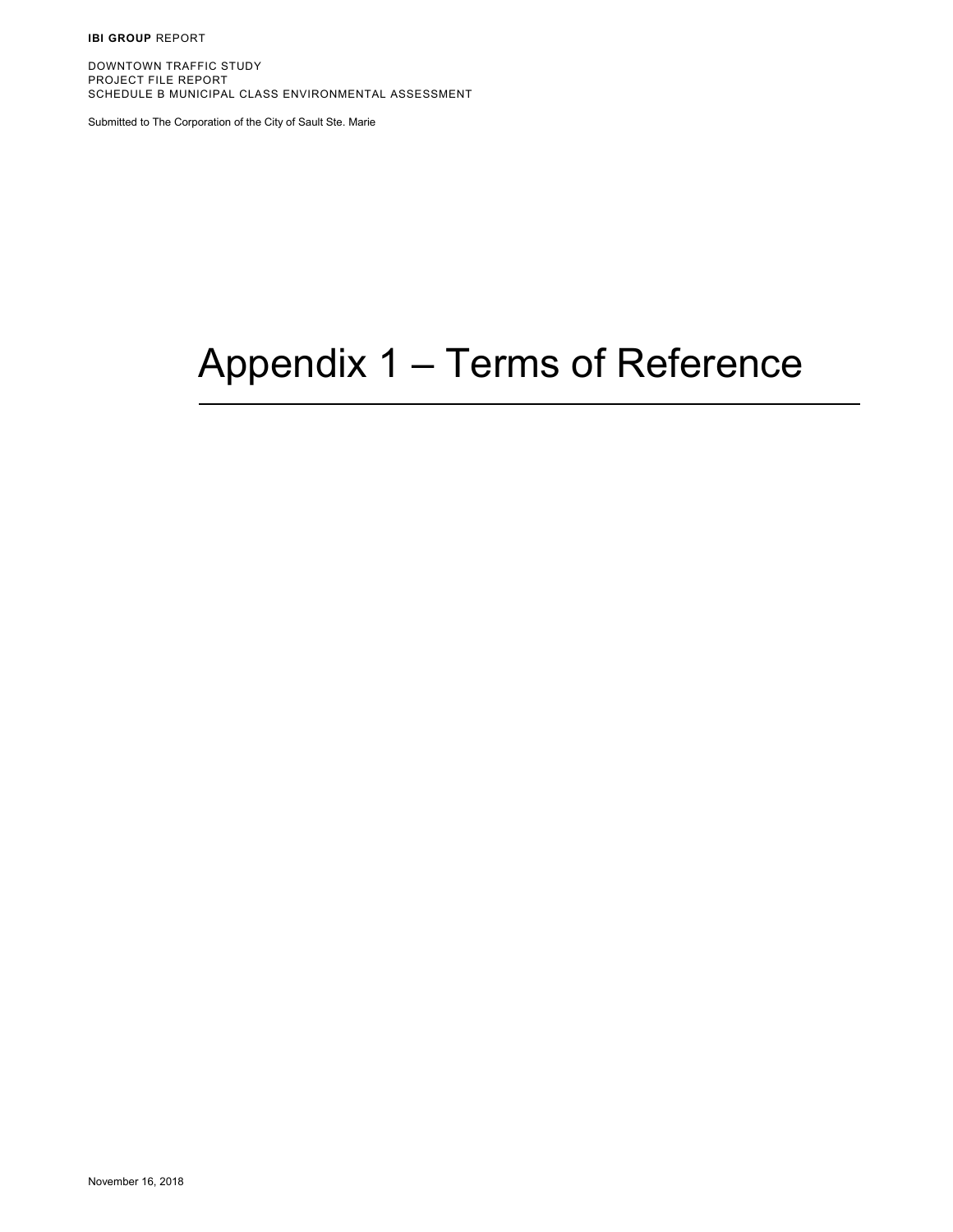**IBI GROUP** REPORT

DOWNTOWN TRAFFIC STUDY PROJECT FILE REPORT SCHEDULE B MUNICIPAL CLASS ENVIRONMENTAL ASSESSMENT

Submitted to The Corporation of the City of Sault Ste. Marie

# Appendix 1 – Terms of Reference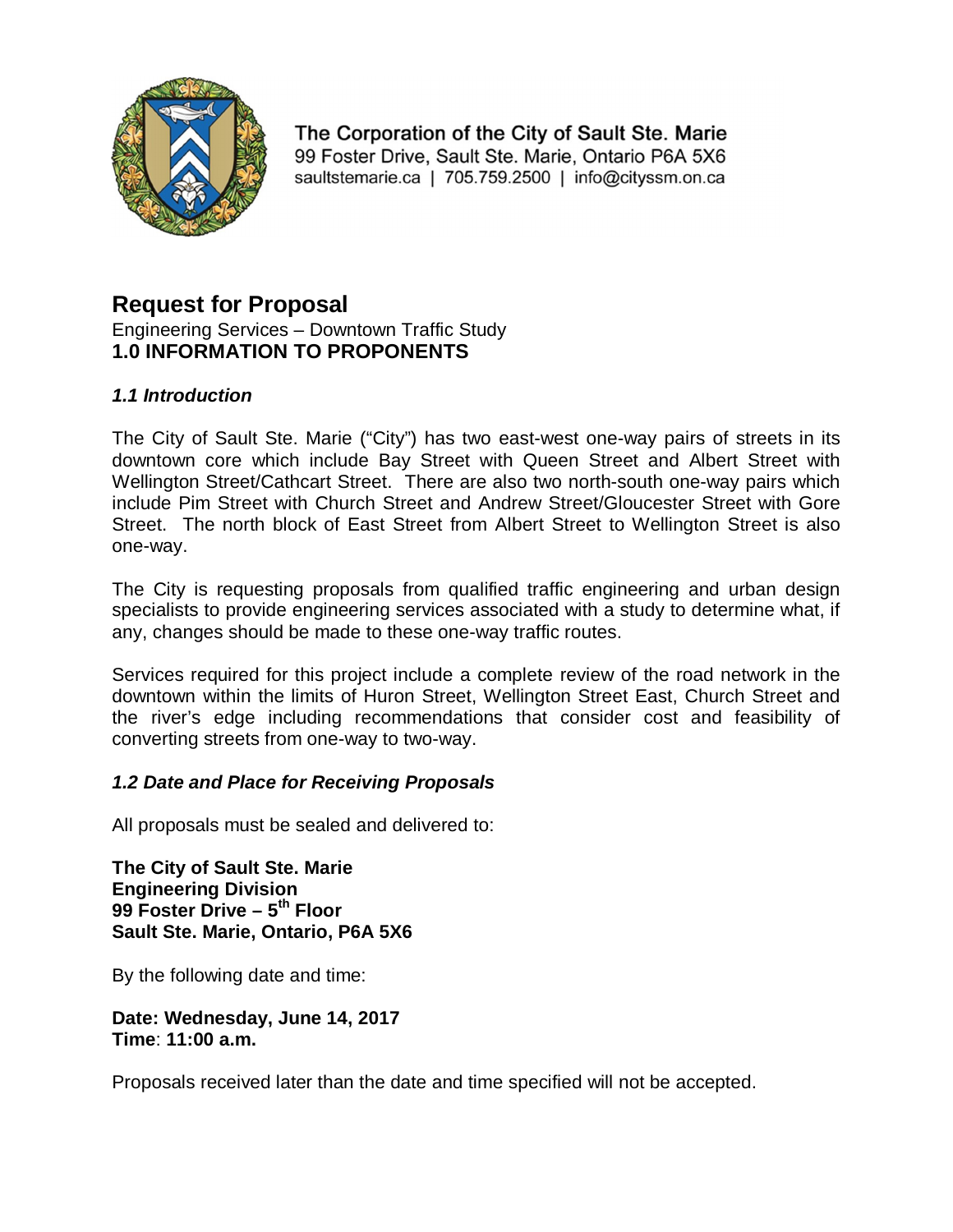

The Corporation of the City of Sault Ste. Marie 99 Foster Drive, Sault Ste, Marie, Ontario P6A 5X6 saultstemarie.ca | 705.759.2500 | info@cityssm.on.ca

# **Request for Proposal**

Engineering Services – Downtown Traffic Study **1.0 INFORMATION TO PROPONENTS** 

#### *1.1 Introduction*

The City of Sault Ste. Marie ("City") has two east-west one-way pairs of streets in its downtown core which include Bay Street with Queen Street and Albert Street with Wellington Street/Cathcart Street. There are also two north-south one-way pairs which include Pim Street with Church Street and Andrew Street/Gloucester Street with Gore Street. The north block of East Street from Albert Street to Wellington Street is also one-way.

The City is requesting proposals from qualified traffic engineering and urban design specialists to provide engineering services associated with a study to determine what, if any, changes should be made to these one-way traffic routes.

Services required for this project include a complete review of the road network in the downtown within the limits of Huron Street, Wellington Street East, Church Street and the river's edge including recommendations that consider cost and feasibility of converting streets from one-way to two-way.

#### *1.2 Date and Place for Receiving Proposals*

All proposals must be sealed and delivered to:

**The City of Sault Ste. Marie Engineering Division 99 Foster Drive – 5 th Floor Sault Ste. Marie, Ontario, P6A 5X6**

By the following date and time:

**Date: Wednesday, June 14, 2017 Time**: **11:00 a.m.** 

Proposals received later than the date and time specified will not be accepted.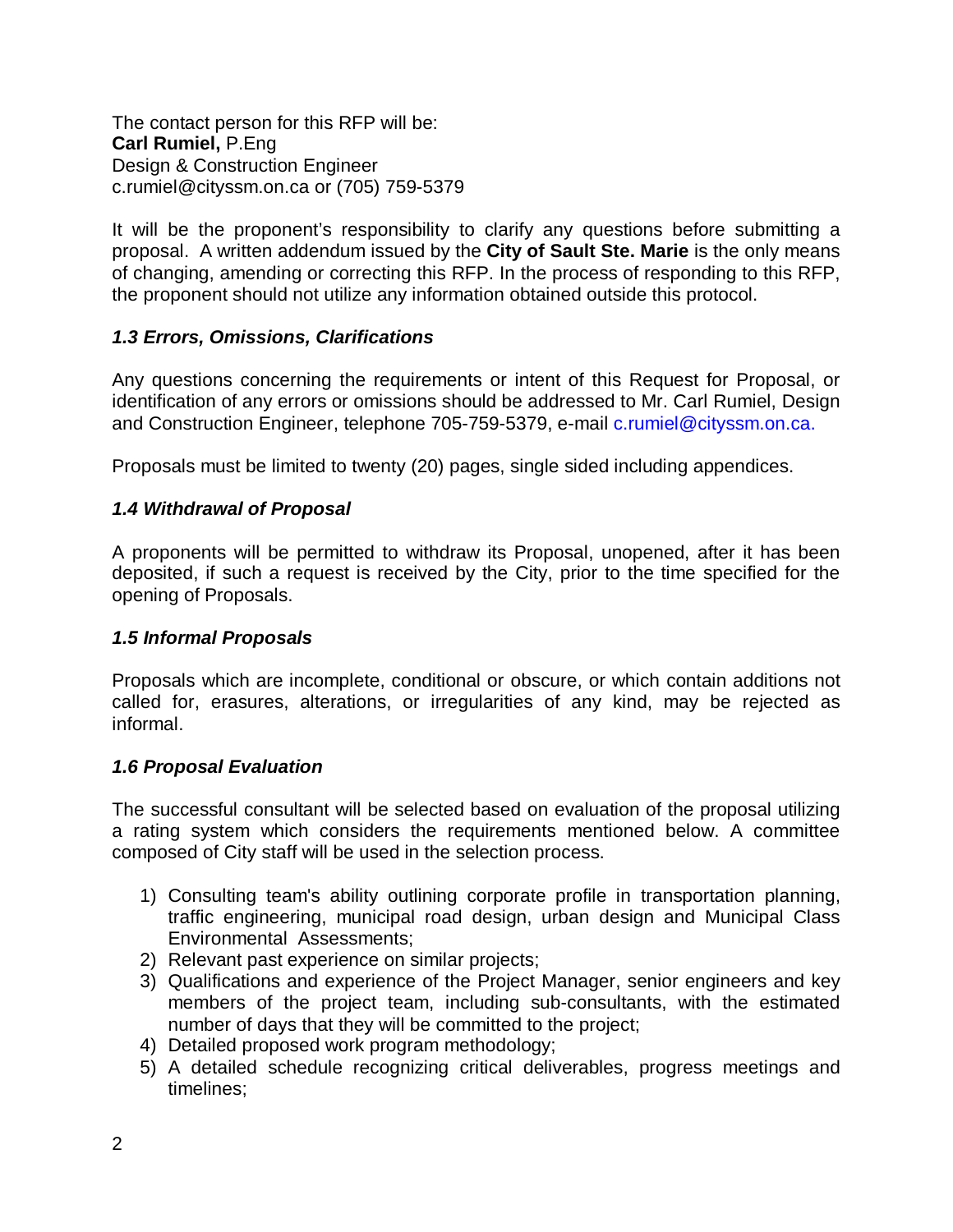The contact person for this RFP will be: **Carl Rumiel,** P.Eng Design & Construction Engineer c.rumiel@cityssm.on.ca or (705) 759-5379

It will be the proponent's responsibility to clarify any questions before submitting a proposal. A written addendum issued by the **City of Sault Ste. Marie** is the only means of changing, amending or correcting this RFP. In the process of responding to this RFP, the proponent should not utilize any information obtained outside this protocol.

#### *1.3 Errors, Omissions, Clarifications*

Any questions concerning the requirements or intent of this Request for Proposal, or identification of any errors or omissions should be addressed to Mr. Carl Rumiel, Design and Construction Engineer, telephone 705-759-5379, e-mail c.rumiel@cityssm.on.ca.

Proposals must be limited to twenty (20) pages, single sided including appendices.

#### *1.4 Withdrawal of Proposal*

A proponents will be permitted to withdraw its Proposal, unopened, after it has been deposited, if such a request is received by the City, prior to the time specified for the opening of Proposals.

#### *1.5 Informal Proposals*

Proposals which are incomplete, conditional or obscure, or which contain additions not called for, erasures, alterations, or irregularities of any kind, may be rejected as informal.

#### *1.6 Proposal Evaluation*

The successful consultant will be selected based on evaluation of the proposal utilizing a rating system which considers the requirements mentioned below. A committee composed of City staff will be used in the selection process.

- 1) Consulting team's ability outlining corporate profile in transportation planning, traffic engineering, municipal road design, urban design and Municipal Class Environmental Assessments;
- 2) Relevant past experience on similar projects;
- 3) Qualifications and experience of the Project Manager, senior engineers and key members of the project team, including sub-consultants, with the estimated number of days that they will be committed to the project;
- 4) Detailed proposed work program methodology;
- 5) A detailed schedule recognizing critical deliverables, progress meetings and timelines;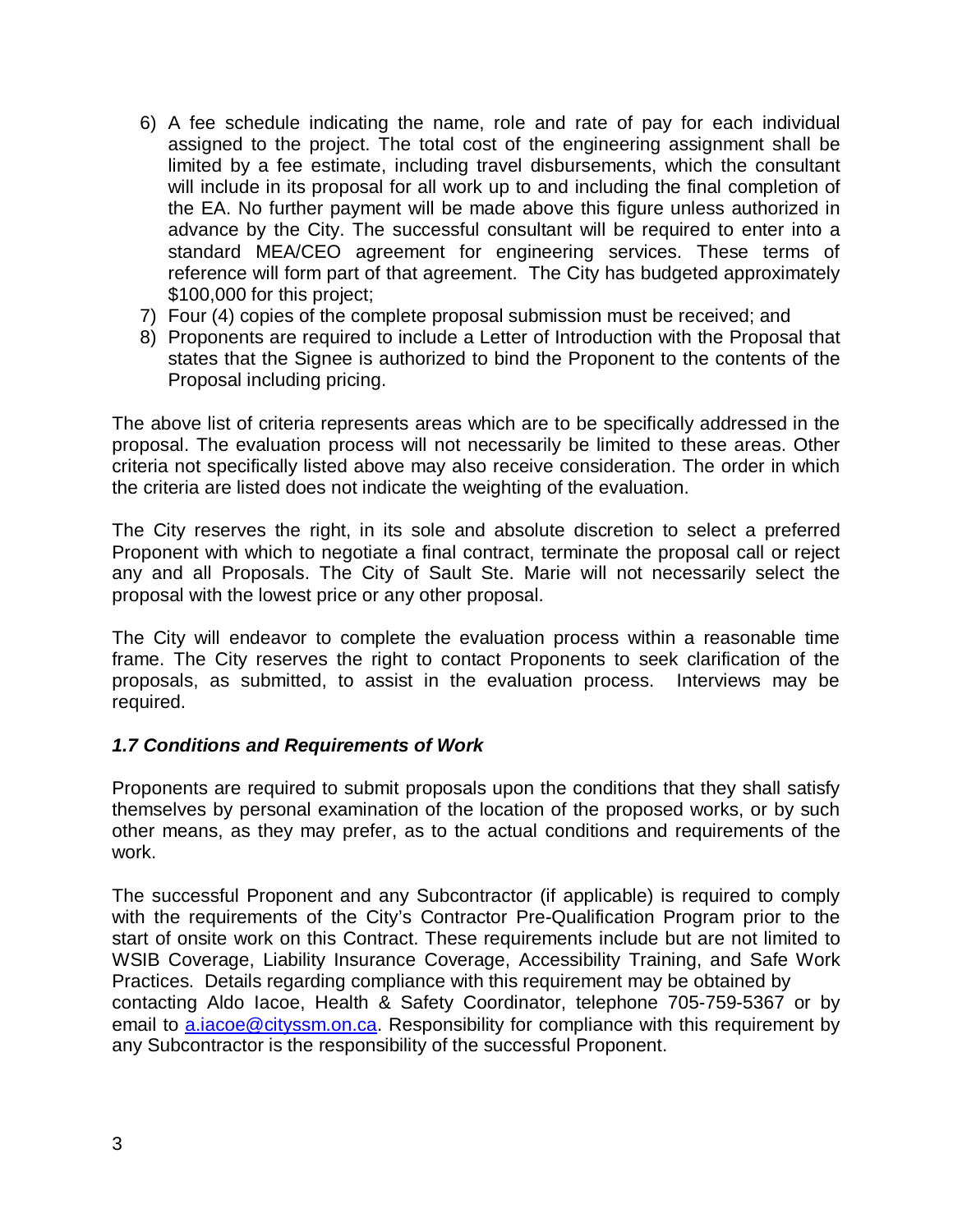- 6) A fee schedule indicating the name, role and rate of pay for each individual assigned to the project. The total cost of the engineering assignment shall be limited by a fee estimate, including travel disbursements, which the consultant will include in its proposal for all work up to and including the final completion of the EA. No further payment will be made above this figure unless authorized in advance by the City. The successful consultant will be required to enter into a standard MEA/CEO agreement for engineering services. These terms of reference will form part of that agreement. The City has budgeted approximately \$100,000 for this project;
- 7) Four (4) copies of the complete proposal submission must be received; and
- 8) Proponents are required to include a Letter of Introduction with the Proposal that states that the Signee is authorized to bind the Proponent to the contents of the Proposal including pricing.

The above list of criteria represents areas which are to be specifically addressed in the proposal. The evaluation process will not necessarily be limited to these areas. Other criteria not specifically listed above may also receive consideration. The order in which the criteria are listed does not indicate the weighting of the evaluation.

The City reserves the right, in its sole and absolute discretion to select a preferred Proponent with which to negotiate a final contract, terminate the proposal call or reject any and all Proposals. The City of Sault Ste. Marie will not necessarily select the proposal with the lowest price or any other proposal.

The City will endeavor to complete the evaluation process within a reasonable time frame. The City reserves the right to contact Proponents to seek clarification of the proposals, as submitted, to assist in the evaluation process. Interviews may be required.

#### *1.7 Conditions and Requirements of Work*

Proponents are required to submit proposals upon the conditions that they shall satisfy themselves by personal examination of the location of the proposed works, or by such other means, as they may prefer, as to the actual conditions and requirements of the work.

The successful Proponent and any Subcontractor (if applicable) is required to comply with the requirements of the City's Contractor Pre-Qualification Program prior to the start of onsite work on this Contract. These requirements include but are not limited to WSIB Coverage, Liability Insurance Coverage, Accessibility Training, and Safe Work Practices. Details regarding compliance with this requirement may be obtained by contacting Aldo Iacoe, Health & Safety Coordinator, telephone 705-759-5367 or by email to a.iacoe@cityssm.on.ca. Responsibility for compliance with this requirement by any Subcontractor is the responsibility of the successful Proponent.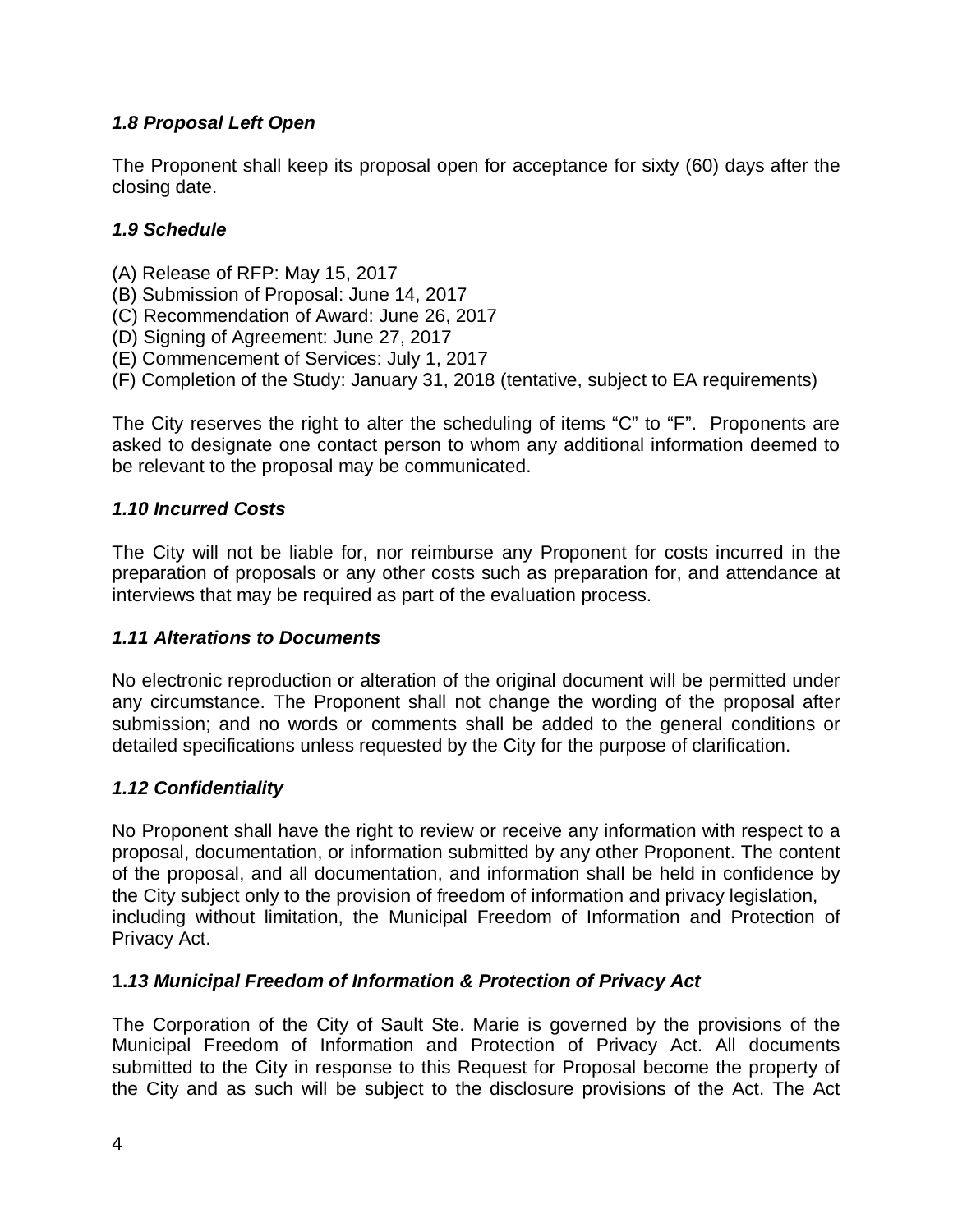# *1.8 Proposal Left Open*

The Proponent shall keep its proposal open for acceptance for sixty (60) days after the closing date.

#### *1.9 Schedule*

- (A) Release of RFP: May 15, 2017
- (B) Submission of Proposal: June 14, 2017
- (C) Recommendation of Award: June 26, 2017
- (D) Signing of Agreement: June 27, 2017
- (E) Commencement of Services: July 1, 2017
- (F) Completion of the Study: January 31, 2018 (tentative, subject to EA requirements)

The City reserves the right to alter the scheduling of items "C" to "F". Proponents are asked to designate one contact person to whom any additional information deemed to be relevant to the proposal may be communicated.

#### *1.10 Incurred Costs*

The City will not be liable for, nor reimburse any Proponent for costs incurred in the preparation of proposals or any other costs such as preparation for, and attendance at interviews that may be required as part of the evaluation process.

#### *1.11 Alterations to Documents*

No electronic reproduction or alteration of the original document will be permitted under any circumstance. The Proponent shall not change the wording of the proposal after submission; and no words or comments shall be added to the general conditions or detailed specifications unless requested by the City for the purpose of clarification.

#### *1.12 Confidentiality*

No Proponent shall have the right to review or receive any information with respect to a proposal, documentation, or information submitted by any other Proponent. The content of the proposal, and all documentation, and information shall be held in confidence by the City subject only to the provision of freedom of information and privacy legislation, including without limitation, the Municipal Freedom of Information and Protection of Privacy Act.

#### **1.***13 Municipal Freedom of Information & Protection of Privacy Act*

The Corporation of the City of Sault Ste. Marie is governed by the provisions of the Municipal Freedom of Information and Protection of Privacy Act. All documents submitted to the City in response to this Request for Proposal become the property of the City and as such will be subject to the disclosure provisions of the Act. The Act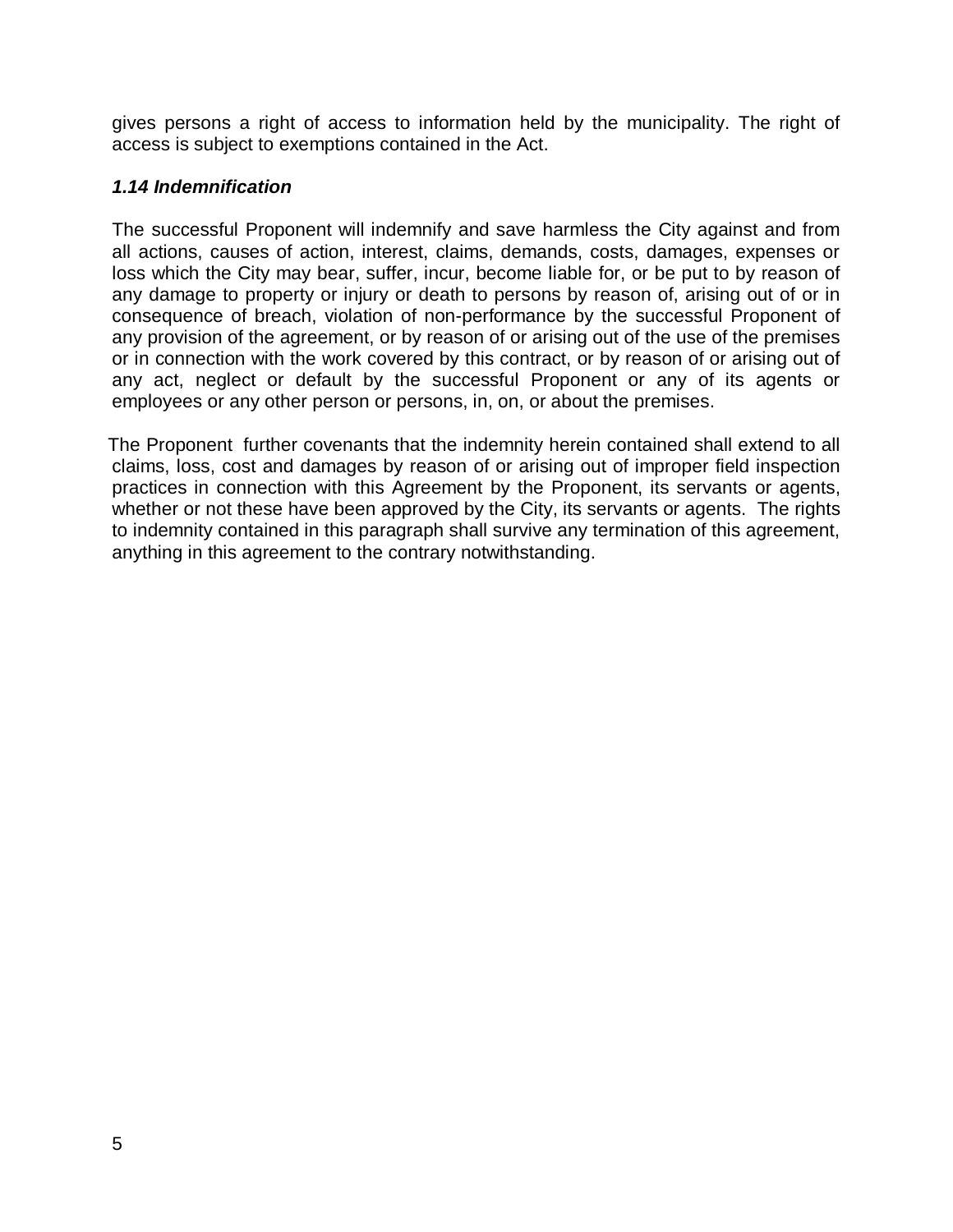gives persons a right of access to information held by the municipality. The right of access is subject to exemptions contained in the Act.

#### *1.14 Indemnification*

The successful Proponent will indemnify and save harmless the City against and from all actions, causes of action, interest, claims, demands, costs, damages, expenses or loss which the City may bear, suffer, incur, become liable for, or be put to by reason of any damage to property or injury or death to persons by reason of, arising out of or in consequence of breach, violation of non-performance by the successful Proponent of any provision of the agreement, or by reason of or arising out of the use of the premises or in connection with the work covered by this contract, or by reason of or arising out of any act, neglect or default by the successful Proponent or any of its agents or employees or any other person or persons, in, on, or about the premises.

 The Proponent further covenants that the indemnity herein contained shall extend to all claims, loss, cost and damages by reason of or arising out of improper field inspection practices in connection with this Agreement by the Proponent, its servants or agents, whether or not these have been approved by the City, its servants or agents. The rights to indemnity contained in this paragraph shall survive any termination of this agreement, anything in this agreement to the contrary notwithstanding.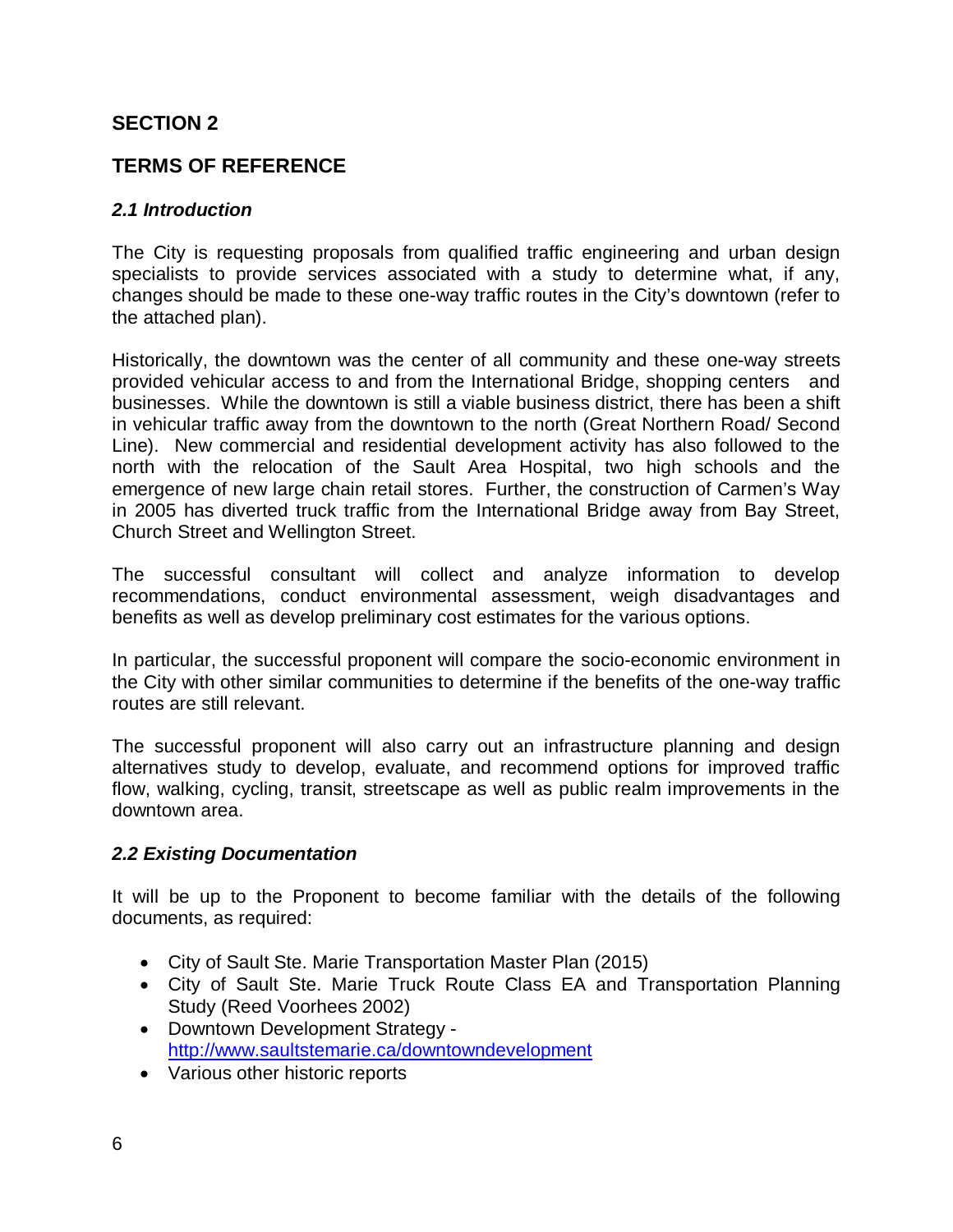# **SECTION 2**

# **TERMS OF REFERENCE**

#### *2.1 Introduction*

The City is requesting proposals from qualified traffic engineering and urban design specialists to provide services associated with a study to determine what, if any, changes should be made to these one-way traffic routes in the City's downtown (refer to the attached plan).

Historically, the downtown was the center of all community and these one-way streets provided vehicular access to and from the International Bridge, shopping centers and businesses. While the downtown is still a viable business district, there has been a shift in vehicular traffic away from the downtown to the north (Great Northern Road/ Second Line). New commercial and residential development activity has also followed to the north with the relocation of the Sault Area Hospital, two high schools and the emergence of new large chain retail stores. Further, the construction of Carmen's Way in 2005 has diverted truck traffic from the International Bridge away from Bay Street, Church Street and Wellington Street.

The successful consultant will collect and analyze information to develop recommendations, conduct environmental assessment, weigh disadvantages and benefits as well as develop preliminary cost estimates for the various options.

In particular, the successful proponent will compare the socio-economic environment in the City with other similar communities to determine if the benefits of the one-way traffic routes are still relevant.

The successful proponent will also carry out an infrastructure planning and design alternatives study to develop, evaluate, and recommend options for improved traffic flow, walking, cycling, transit, streetscape as well as public realm improvements in the downtown area.

#### *2.2 Existing Documentation*

It will be up to the Proponent to become familiar with the details of the following documents, as required:

- City of Sault Ste. Marie Transportation Master Plan (2015)
- City of Sault Ste. Marie Truck Route Class EA and Transportation Planning Study (Reed Voorhees 2002)
- Downtown Development Strategy http://www.saultstemarie.ca/downtowndevelopment
- Various other historic reports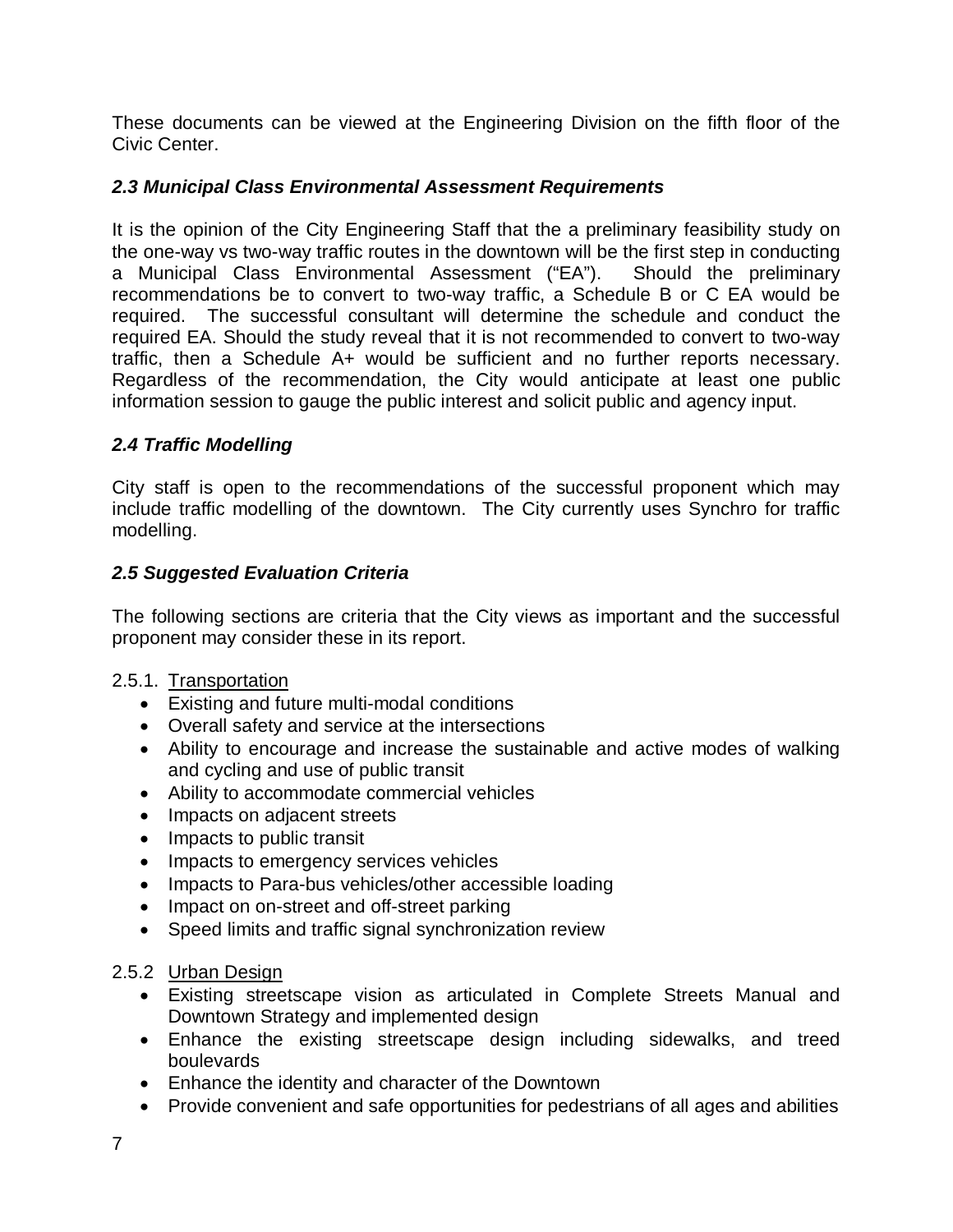These documents can be viewed at the Engineering Division on the fifth floor of the Civic Center.

### *2.3 Municipal Class Environmental Assessment Requirements*

It is the opinion of the City Engineering Staff that the a preliminary feasibility study on the one-way vs two-way traffic routes in the downtown will be the first step in conducting a Municipal Class Environmental Assessment ("EA"). Should the preliminary recommendations be to convert to two-way traffic, a Schedule B or C EA would be required. The successful consultant will determine the schedule and conduct the required EA. Should the study reveal that it is not recommended to convert to two-way traffic, then a Schedule A+ would be sufficient and no further reports necessary. Regardless of the recommendation, the City would anticipate at least one public information session to gauge the public interest and solicit public and agency input.

# *2.4 Traffic Modelling*

City staff is open to the recommendations of the successful proponent which may include traffic modelling of the downtown. The City currently uses Synchro for traffic modelling.

# *2.5 Suggested Evaluation Criteria*

The following sections are criteria that the City views as important and the successful proponent may consider these in its report.

#### 2.5.1. Transportation

- Existing and future multi-modal conditions
- Overall safety and service at the intersections
- Ability to encourage and increase the sustainable and active modes of walking and cycling and use of public transit
- Ability to accommodate commercial vehicles
- Impacts on adjacent streets
- Impacts to public transit
- Impacts to emergency services vehicles
- Impacts to Para-bus vehicles/other accessible loading
- Impact on on-street and off-street parking
- Speed limits and traffic signal synchronization review

#### 2.5.2 Urban Design

- Existing streetscape vision as articulated in Complete Streets Manual and Downtown Strategy and implemented design
- Enhance the existing streetscape design including sidewalks, and treed boulevards
- Enhance the identity and character of the Downtown
- Provide convenient and safe opportunities for pedestrians of all ages and abilities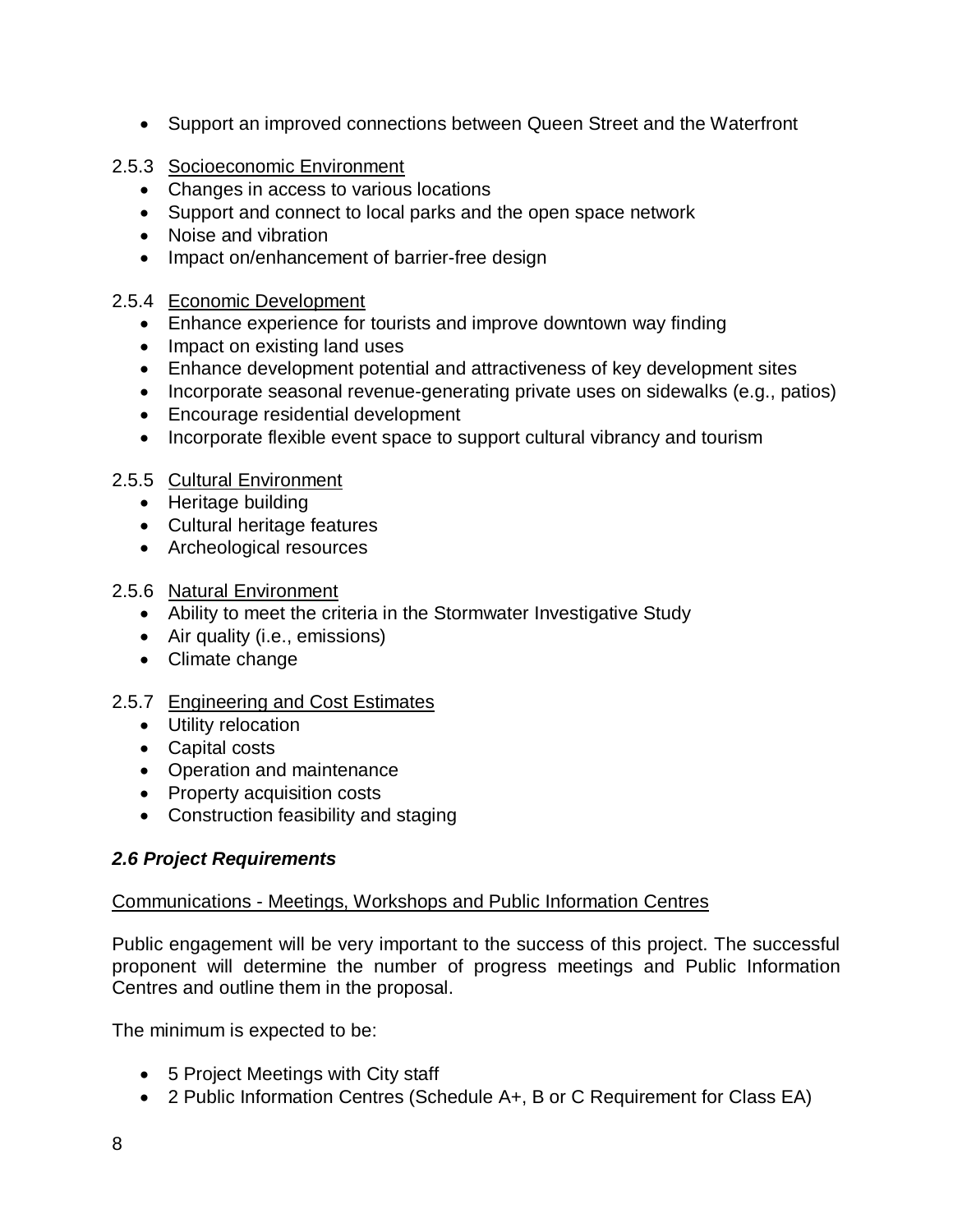- Support an improved connections between Queen Street and the Waterfront
- 2.5.3 Socioeconomic Environment
	- Changes in access to various locations
	- Support and connect to local parks and the open space network
	- Noise and vibration
	- Impact on/enhancement of barrier-free design

# 2.5.4 Economic Development

- Enhance experience for tourists and improve downtown way finding
- Impact on existing land uses
- Enhance development potential and attractiveness of key development sites
- Incorporate seasonal revenue-generating private uses on sidewalks (e.g., patios)
- Encourage residential development
- Incorporate flexible event space to support cultural vibrancy and tourism

# 2.5.5 Cultural Environment

- Heritage building
- Cultural heritage features
- Archeological resources

# 2.5.6 Natural Environment

- Ability to meet the criteria in the Stormwater Investigative Study
- Air quality (i.e., emissions)
- Climate change

#### 2.5.7 Engineering and Cost Estimates

- Utility relocation
- Capital costs
- Operation and maintenance
- Property acquisition costs
- Construction feasibility and staging

# *2.6 Project Requirements*

#### Communications - Meetings, Workshops and Public Information Centres

Public engagement will be very important to the success of this project. The successful proponent will determine the number of progress meetings and Public Information Centres and outline them in the proposal.

The minimum is expected to be:

- 5 Project Meetings with City staff
- 2 Public Information Centres (Schedule A+, B or C Requirement for Class EA)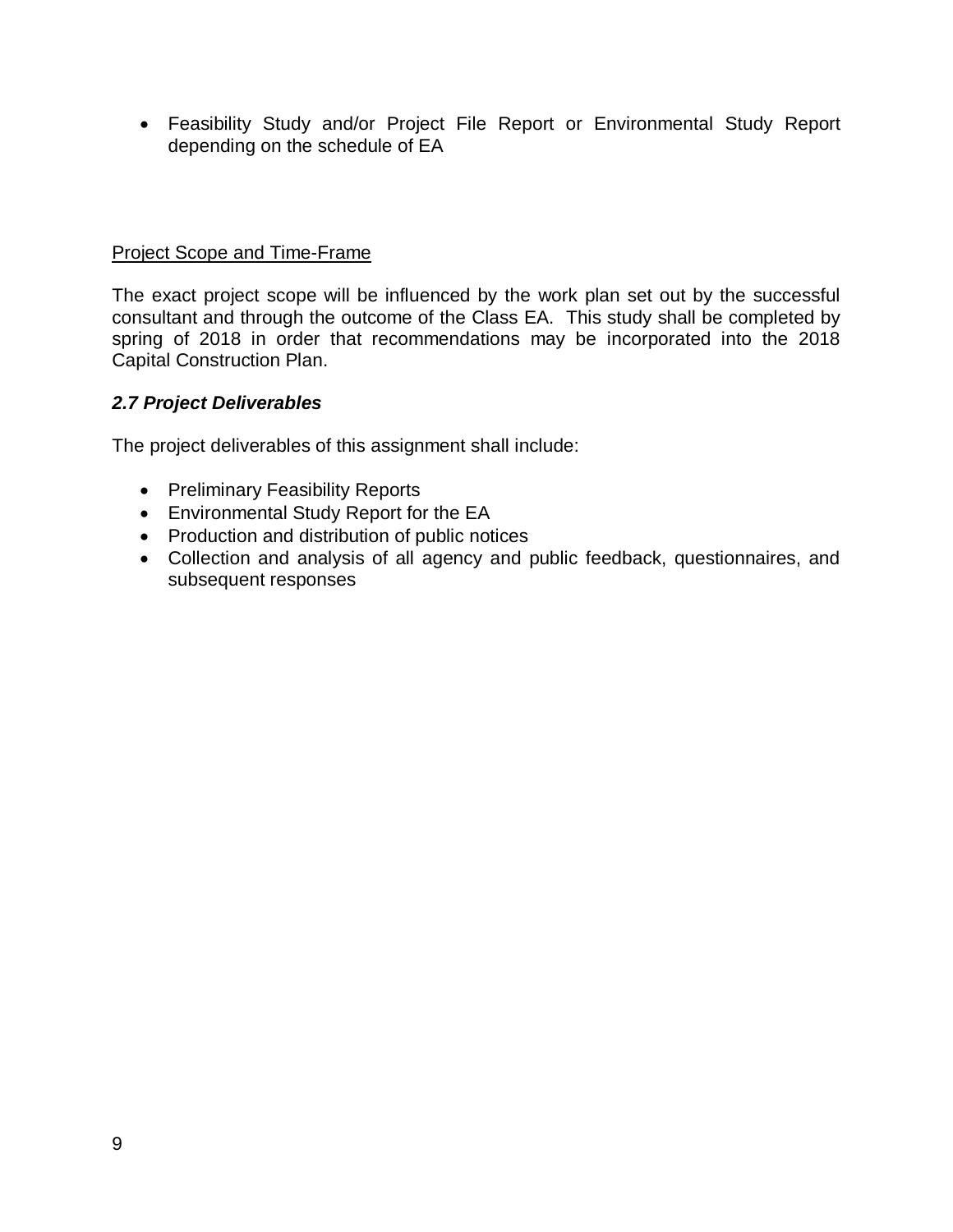Feasibility Study and/or Project File Report or Environmental Study Report depending on the schedule of EA

#### Project Scope and Time-Frame

The exact project scope will be influenced by the work plan set out by the successful consultant and through the outcome of the Class EA. This study shall be completed by spring of 2018 in order that recommendations may be incorporated into the 2018 Capital Construction Plan.

#### *2.7 Project Deliverables*

The project deliverables of this assignment shall include:

- Preliminary Feasibility Reports
- Environmental Study Report for the EA
- Production and distribution of public notices
- Collection and analysis of all agency and public feedback, questionnaires, and subsequent responses